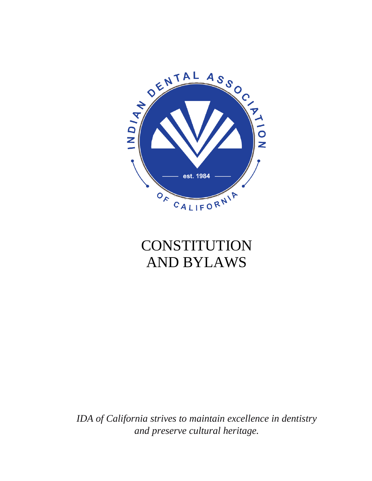

# **CONSTITUTION** AND BYLAWS

*IDA of California strives to maintain excellence in dentistry and preserve cultural heritage.*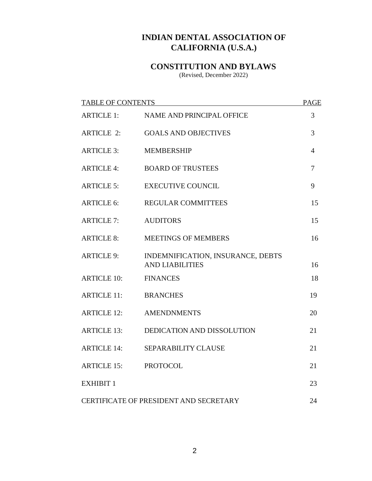# **INDIAN DENTAL ASSOCIATION OF CALIFORNIA (U.S.A.)**

# **CONSTITUTION AND BYLAWS**

(Revised, December 2022)

| <b>TABLE OF CONTENTS</b>               |                                                             | <b>PAGE</b>    |
|----------------------------------------|-------------------------------------------------------------|----------------|
| <b>ARTICLE 1:</b>                      | <b>NAME AND PRINCIPAL OFFICE</b>                            | 3              |
| <b>ARTICLE 2:</b>                      | <b>GOALS AND OBJECTIVES</b>                                 | 3              |
| <b>ARTICLE 3:</b>                      | <b>MEMBERSHIP</b>                                           | $\overline{4}$ |
| <b>ARTICLE 4:</b>                      | <b>BOARD OF TRUSTEES</b>                                    | 7              |
| <b>ARTICLE 5:</b>                      | <b>EXECUTIVE COUNCIL</b>                                    | 9              |
| <b>ARTICLE 6:</b>                      | <b>REGULAR COMMITTEES</b>                                   | 15             |
| <b>ARTICLE 7:</b>                      | <b>AUDITORS</b>                                             | 15             |
| <b>ARTICLE 8:</b>                      | <b>MEETINGS OF MEMBERS</b>                                  | 16             |
| <b>ARTICLE 9:</b>                      | INDEMNIFICATION, INSURANCE, DEBTS<br><b>AND LIABILITIES</b> | 16             |
| <b>ARTICLE 10:</b>                     | <b>FINANCES</b>                                             | 18             |
| <b>ARTICLE 11:</b>                     | <b>BRANCHES</b>                                             | 19             |
| <b>ARTICLE 12:</b>                     | <b>AMENDNMENTS</b>                                          | 20             |
| <b>ARTICLE 13:</b>                     | DEDICATION AND DISSOLUTION                                  | 21             |
| <b>ARTICLE 14:</b>                     | SEPARABILITY CLAUSE                                         | 21             |
| <b>ARTICLE 15:</b>                     | <b>PROTOCOL</b>                                             | 21             |
| <b>EXHIBIT 1</b>                       |                                                             | 23             |
| CERTIFICATE OF PRESIDENT AND SECRETARY |                                                             | 24             |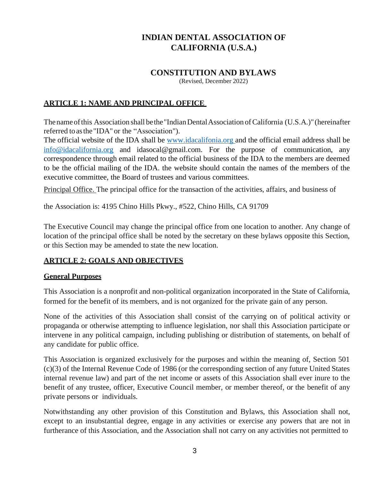# **INDIAN DENTAL ASSOCIATION OF CALIFORNIA (U.S.A.)**

# **CONSTITUTION AND BYLAWS**

(Revised, December 2022)

#### **ARTICLE 1: NAME AND PRINCIPAL OFFICE**

Thenameofthis Association shall bethe"IndianDentalAssociation ofCalifornia (U.S.A.)" (hereinafter referred toasthe"IDA" or the "Association").

The official website of the IDA shall be www.idacalifonia.org and the official email address shall be [info@idacalifornia.org](mailto:info@idacalifornia.org) and idasocal@gmail.com. For the purpose of communication, any correspondence through email related to the official business of the IDA to the members are deemed to be the official mailing of the IDA. the website should contain the names of the members of the executive committee, the Board of trustees and various committees.

Principal Office. The principal office for the transaction of the activities, affairs, and business of

the Association is: 4195 Chino Hills Pkwy., #522, Chino Hills, CA 91709

The Executive Council may change the principal office from one location to another. Any change of location of the principal office shall be noted by the secretary on these bylaws opposite this Section, or this Section may be amended to state the new location.

#### **ARTICLE 2: GOALS AND OBJECTIVES**

#### **General Purposes**

This Association is a nonprofit and non-political organization incorporated in the State of California, formed for the benefit of its members, and is not organized for the private gain of any person.

None of the activities of this Association shall consist of the carrying on of political activity or propaganda or otherwise attempting to influence legislation, nor shall this Association participate or intervene in any political campaign, including publishing or distribution of statements, on behalf of any candidate for public office.

This Association is organized exclusively for the purposes and within the meaning of, Section 501 (c)(3) of the Internal Revenue Code of 1986 (or the corresponding section of any future United States internal revenue law) and part of the net income or assets of this Association shall ever inure to the benefit of any trustee, officer, Executive Council member, or member thereof, or the benefit of any private persons or individuals.

Notwithstanding any other provision of this Constitution and Bylaws, this Association shall not, except to an insubstantial degree, engage in any activities or exercise any powers that are not in furtherance of this Association, and the Association shall not carry on any activities not permitted to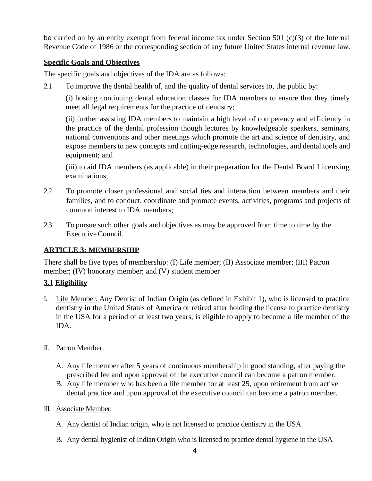be carried on by an entity exempt from federal income tax under Section 501 (c)(3) of the Internal Revenue Code of 1986 or the corresponding section of any future United States internal revenue law.

### **Specific Goals and Objectives**

The specific goals and objectives of the IDA are as follows:

2.1 To improve the dental health of, and the quality of dental services to, the public by:

(i) hosting continuing dental education classes for IDA members to ensure that they timely meet all legal requirements for the practice of dentistry;

(ii) further assisting IDA members to maintain a high level of competency and efficiency in the practice of the dental profession though lectures by knowledgeable speakers, seminars, national conventions and other meetings which promote the art and science of dentistry, and expose members to new concepts and cutting-edge research, technologies, and dental tools and equipment; and

(iii) to aid IDA members (as applicable) in their preparation for the Dental Board Licensing examinations;

- 2.2 To promote closer professional and social ties and interaction between members and their families, and to conduct, coordinate and promote events, activities, programs and projects of common interest to IDA members;
- 2.3 To pursue such other goals and objectives as may be approved from time to time by the ExecutiveCouncil.

### **ARTICLE 3: MEMBERSHIP**

There shall be five types of membership: (I) Life member; (II) Associate member; (III) Patron member; (IV) honorary member; and (V) student member

# **3.1 Eligibility**

- I. Life Member. Any Dentist of Indian Origin (as defined in Exhibit 1), who is licensed to practice dentistry in the United States of America or retired after holding the license to practice dentistry in the USA for a period of at least two years, is eligible to apply to become a life member of the IDA.
- II. Patron Member:
	- A. Any life member after 5 years of continuous membership in good standing, after paying the prescribed fee and upon approval of the executive council can become a patron member.
	- B. Any life member who has been a life member for at least 25, upon retirement from active dental practice and upon approval of the executive council can become a patron member.
- III. Associate Member.
	- A. Any dentist of Indian origin, who is not licensed to practice dentistry in the USA.
	- B. Any dental hygienist of Indian Origin who is licensed to practice dental hygiene in the USA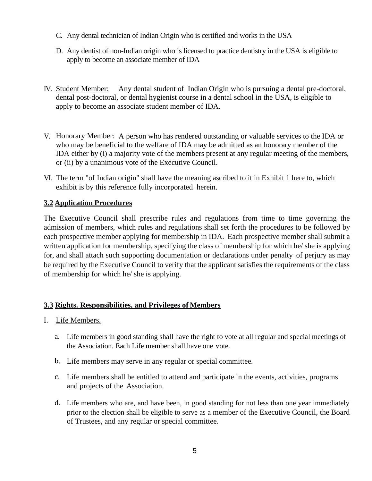- C. Any dental technician of Indian Origin who is certified and works in the USA
- D. Any dentist of non-Indian origin who is licensed to practice dentistry in the USA is eligible to apply to become an associate member of IDA
- IV. Student Member: Any dental student of Indian Origin who is pursuing a dental pre-doctoral, dental post-doctoral, or dental hygienist course in a dental school in the USA, is eligible to apply to become an associate student member of IDA.
- V. Honorary Member: A person who has rendered outstanding or valuable services to the IDA or who may be beneficial to the welfare of IDA may be admitted as an honorary member of the IDA either by (i) a majority vote of the members present at any regular meeting of the members, or (ii) by a unanimous vote of the Executive Council.
- VI. The term "of Indian origin" shall have the meaning ascribed to it in Exhibit 1 here to, which exhibit is by this reference fully incorporated herein.

## **3.2 Application Procedures**

The Executive Council shall prescribe rules and regulations from time to time governing the admission of members, which rules and regulations shall set forth the procedures to be followed by each prospective member applying for membership in IDA. Each prospective member shall submit a written application for membership, specifying the class of membership for which he/ she is applying for, and shall attach such supporting documentation or declarations under penalty of perjury as may be required by the Executive Council to verify that the applicant satisfies the requirements of the class of membership for which he/ she is applying.

### **3.3 Rights. Responsibilities, and Privileges of Members**

- I. Life Members.
	- a. Life members in good standing shall have the right to vote at all regular and special meetings of the Association. Each Life member shall have one vote.
	- b. Life members may serve in any regular or special committee.
	- c. Life members shall be entitled to attend and participate in the events, activities, programs and projects of the Association.
	- d. Life members who are, and have been, in good standing for not less than one year immediately prior to the election shall be eligible to serve as a member of the Executive Council, the Board of Trustees, and any regular or special committee.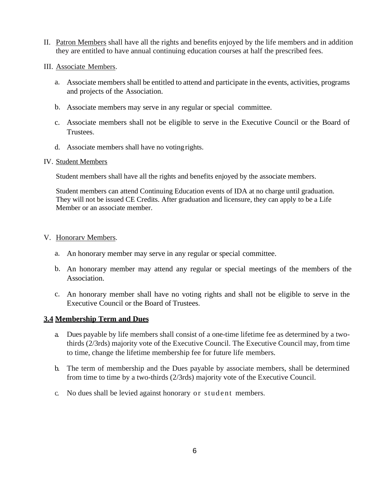- II. Patron Members shall have all the rights and benefits enjoyed by the life members and in addition they are entitled to have annual continuing education courses at half the prescribed fees.
- III. Associate Members.
	- a. Associate members shall be entitled to attend and participate in the events, activities, programs and projects of the Association.
	- b. Associate members may serve in any regular or special committee.
	- c. Associate members shall not be eligible to serve in the Executive Council or the Board of Trustees.
	- d. Associate members shall have no voting rights.

#### IV. Student Members

Student members shall have all the rights and benefits enjoyed by the associate members.

Student members can attend Continuing Education events of IDA at no charge until graduation. They will not be issued CE Credits. After graduation and licensure, they can apply to be a Life Member or an associate member.

#### V. Honorarv Members.

- a. An honorary member may serve in any regular or special committee.
- b. An honorary member may attend any regular or special meetings of the members of the Association.
- c. An honorary member shall have no voting rights and shall not be eligible to serve in the Executive Council or the Board of Trustees.

#### **3.4 Membership Term and Dues**

- a. Dues payable by life members shall consist of a one-time lifetime fee as determined by a twothirds (2/3rds) majority vote of the Executive Council. The Executive Council may, from time to time, change the lifetime membership fee for future life members.
- b. The term of membership and the Dues payable by associate members, shall be determined from time to time by a two-thirds (2/3rds) majority vote of the Executive Council.
- c. No dues shall be levied against honorary or student members.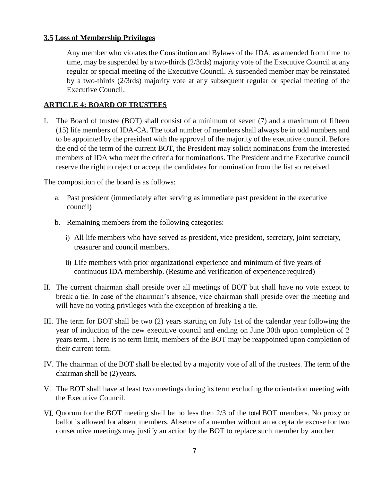#### **3.5 Loss of Membership Privileges**

Any member who violates the Constitution and Bylaws of the IDA, as amended from time to time, may be suspended by a two-thirds (2/3rds) majority vote of the Executive Council at any regular or special meeting of the Executive Council. A suspended member may be reinstated by a two-thirds (2/3rds) majority vote at any subsequent regular or special meeting of the Executive Council.

#### **ARTICLE 4: BOARD OF TRUSTEES**

I. The Board of trustee (BOT) shall consist of a minimum of seven (7) and a maximum of fifteen (15) life members of IDA-CA. The total number of members shall always be in odd numbers and to be appointed by the president with the approval of the majority of the executive council. Before the end of the term of the current BOT, the President may solicit nominations from the interested members of IDA who meet the criteria for nominations. The President and the Executive council reserve the right to reject or accept the candidates for nomination from the list so received.

The composition of the board is as follows:

- a. Past president (immediately after serving as immediate past president in the executive council)
- b. Remaining members from the following categories:
	- i) All life members who have served as president, vice president, secretary, joint secretary, treasurer and council members.
	- ii) Life members with prior organizational experience and minimum of five years of continuous IDA membership. (Resume and verification of experience required)
- II. The current chairman shall preside over all meetings of BOT but shall have no vote except to break a tie. In case of the chairman's absence, vice chairman shall preside over the meeting and will have no voting privileges with the exception of breaking a tie.
- III. The term for BOT shall be two (2) years starting on July 1st of the calendar year following the year of induction of the new executive council and ending on June 30th upon completion of 2 years term. There is no term limit, members of the BOT may be reappointed upon completion of their current term.
- IV. The chairman of the BOT shall be elected by a majority vote of all of the trustees. The term of the chairman shall be (2) years.
- V. The BOT shall have at least two meetings during its term excluding the orientation meeting with the Executive Council.
- VI. Quorum for the BOT meeting shall be no less then 2/3 of the total BOT members. No proxy or ballot is allowed for absent members. Absence of a member without an acceptable excuse for two consecutive meetings may justify an action by the BOT to replace such member by another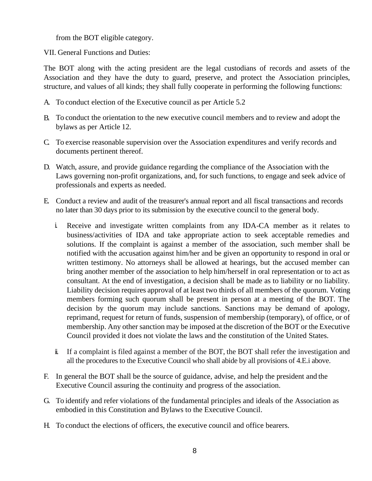from the BOT eligible category.

VII. General Functions and Duties:

The BOT along with the acting president are the legal custodians of records and assets of the Association and they have the duty to guard, preserve, and protect the Association principles, structure, and values of all kinds; they shall fully cooperate in performing the following functions:

- A. To conduct election of the Executive council as per Article 5.2
- B. To conduct the orientation to the new executive council members and to review and adopt the bylaws as per Article 12.
- C. To exercise reasonable supervision over the Association expenditures and verify records and documents pertinent thereof.
- D. Watch, assure, and provide guidance regarding the compliance of the Association with the Laws governing non-profit organizations, and, for such functions, to engage and seek advice of professionals and experts as needed.
- E. Conduct a review and audit of the treasurer's annual report and all fiscal transactions and records no later than 30 days prior to its submission by the executive council to the general body.
	- i. Receive and investigate written complaints from any IDA-CA member as it relates to business/activities of IDA and take appropriate action to seek acceptable remedies and solutions. If the complaint is against a member of the association, such member shall be notified with the accusation against him/her and be given an opportunity to respond in oral or written testimony. No attorneys shall be allowed at hearings, but the accused member can bring another member of the association to help him/herself in oral representation or to act as consultant. At the end of investigation, a decision shall be made as to liability or no liability. Liability decision requires approval of at least two thirds of all members of the quorum. Voting members forming such quorum shall be present in person at a meeting of the BOT. The decision by the quorum may include sanctions. Sanctions may be demand of apology, reprimand, request for return of funds, suspension of membership (temporary), of office, or of membership. Any other sanction may be imposed at the discretion of the BOT or the Executive Council provided it does not violate the laws and the constitution of the United States.
	- ii. If a complaint is filed against a member of the BOT, the BOT shall refer the investigation and all the procedures to the Executive Council who shall abide by all provisions of 4.E.i above.
- F. In general the BOT shall be the source of guidance, advise, and help the president and the Executive Council assuring the continuity and progress of the association.
- G. To identify and refer violations of the fundamental principles and ideals of the Association as embodied in this Constitution and Bylaws to the Executive Council.
- H. To conduct the elections of officers, the executive council and office bearers.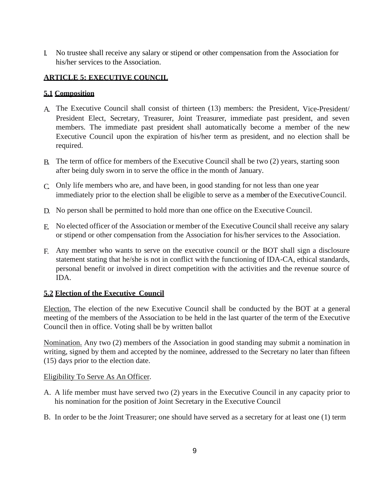I. No trustee shall receive any salary or stipend or other compensation from the Association for his/her services to the Association.

# **ARTICLE 5: EXECUTIVE COUNCIL**

#### **5.1 Composition**

- A. The Executive Council shall consist of thirteen (13) members: the President, Vice-President/ President Elect, Secretary, Treasurer, Joint Treasurer, immediate past president, and seven members. The immediate past president shall automatically become a member of the new Executive Council upon the expiration of his/her term as president, and no election shall be required.
- B. The term of office for members of the Executive Council shall be two (2) years, starting soon after being duly sworn in to serve the office in the month of January.
- C. Only life members who are, and have been, in good standing for not less than one year immediately prior to the election shall be eligible to serve as a member of the ExecutiveCouncil.
- D. No person shall be permitted to hold more than one office on the Executive Council.
- E. No elected officer of the Association or member of the Executive Councilshall receive any salary or stipend or other compensation from the Association for his/her services to the Association.
- F. Any member who wants to serve on the executive council or the BOT shall sign a disclosure statement stating that he/she is not in conflict with the functioning of IDA-CA, ethical standards, personal benefit or involved in direct competition with the activities and the revenue source of IDA.

#### **5.2 Election of the Executive Council**

Election. The election of the new Executive Council shall be conducted by the BOT at a general meeting of the members of the Association to be held in the last quarter of the term of the Executive Council then in office. Voting shall be by written ballot

Nomination. Any two (2) members of the Association in good standing may submit a nomination in writing, signed by them and accepted by the nominee, addressed to the Secretary no later than fifteen (15) days prior to the election date.

#### Eligibility To Serve As An Officer.

- A. A life member must have served two (2) years in the Executive Council in any capacity prior to his nomination for the position of Joint Secretary in the Executive Council
- B. In order to be the Joint Treasurer; one should have served as a secretary for at least one (1) term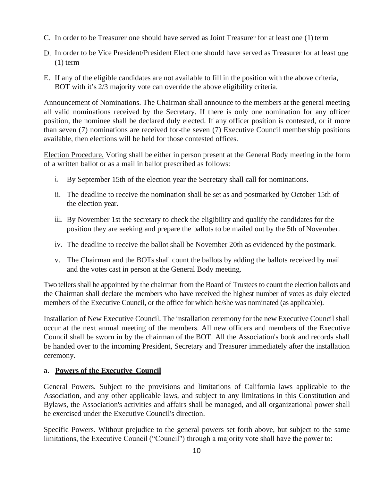- C. In order to be Treasurer one should have served as Joint Treasurer for at least one (1) term
- D. In order to be Vice President/President Elect one should have served as Treasurer for at least one  $(1)$  term
- E. If any of the eligible candidates are not available to fill in the position with the above criteria, BOT with it's 2/3 majority vote can override the above eligibility criteria.

Announcement of Nominations. The Chairman shall announce to the members at the general meeting all valid nominations received by the Secretary. If there is only one nomination for any officer position, the nominee shall be declared duly elected. If any officer position is contested, or if more than seven (7) nominations are received for-the seven (7) Executive Council membership positions available, then elections will be held for those contested offices.

Election Procedure. Voting shall be either in person present at the General Body meeting in the form of a written ballot or as a mail in ballot prescribed as follows:

- i. By September 15th of the election year the Secretary shall call for nominations.
- ii. The deadline to receive the nomination shall be set as and postmarked by October 15th of the election year.
- iii. By November 1st the secretary to check the eligibility and qualify the candidates for the position they are seeking and prepare the ballots to be mailed out by the 5th of November.
- iv. The deadline to receive the ballot shall be November 20th as evidenced by the postmark.
- v. The Chairman and the BOTs shall count the ballots by adding the ballots received by mail and the votes cast in person at the General Body meeting.

Two tellers shall be appointed by the chairman from the Board of Trustees to count the election ballots and the Chairman shall declare the members who have received the highest number of votes as duly elected members of the Executive Council, or the office for which he/she was nominated (as applicable).

Installation of New Executive Council. The installation ceremony for the new Executive Council shall occur at the next annual meeting of the members. All new officers and members of the Executive Council shall be sworn in by the chairman of the BOT. All the Association's book and records shall be handed over to the incoming President, Secretary and Treasurer immediately after the installation ceremony.

### **a. Powers of the Executive Council**

General Powers. Subject to the provisions and limitations of California laws applicable to the Association, and any other applicable laws, and subject to any limitations in this Constitution and Bylaws, the Association's activities and affairs shall be managed, and all organizational power shall be exercised under the Executive Council's direction.

Specific Powers. Without prejudice to the general powers set forth above, but subject to the same limitations, the Executive Council ("Council") through a majority vote shall have the power to: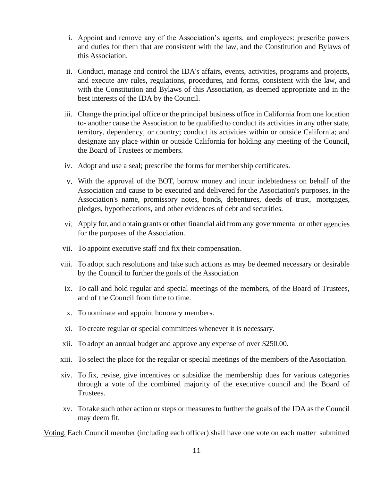- i. Appoint and remove any of the Association's agents, and employees; prescribe powers and duties for them that are consistent with the law, and the Constitution and Bylaws of this Association.
- ii. Conduct, manage and control the IDA's affairs, events, activities, programs and projects, and execute any rules, regulations, procedures, and forms, consistent with the law, and with the Constitution and Bylaws of this Association, as deemed appropriate and in the best interests of the IDA by the Council.
- iii. Change the principal office or the principal business office in California from one location to- another cause the Association to be qualified to conduct its activities in any other state, territory, dependency, or country; conduct its activities within or outside California; and designate any place within or outside California for holding any meeting of the Council, the Board of Trustees or members.
- iv. Adopt and use a seal; prescribe the forms for membership certificates.
- v. With the approval of the BOT, borrow money and incur indebtedness on behalf of the Association and cause to be executed and delivered for the Association's purposes, in the Association's name, promissory notes, bonds, debentures, deeds of trust, mortgages, pledges, hypothecations, and other evidences of debt and securities.
- vi. Apply for, and obtain grants or other financial aid from any governmental or other agencies for the purposes of the Association.
- vii. To appoint executive staff and fix their compensation.
- viii. To adopt such resolutions and take such actions as may be deemed necessary or desirable by the Council to further the goals of the Association
- ix. To call and hold regular and special meetings of the members, of the Board of Trustees, and of the Council from time to time.
- x. To nominate and appoint honorary members.
- xi. To create regular or special committees whenever it is necessary.
- xii. To adopt an annual budget and approve any expense of over \$250.00.
- xiii. To select the place for the regular or special meetings of the members of the Association.
- xiv. To fix, revise, give incentives or subsidize the membership dues for various categories through a vote of the combined majority of the executive council and the Board of Trustees.
- xv. To take such other action or steps or measures to further the goals of the IDA as the Council may deem fit.

Voting. Each Council member (including each officer) shall have one vote on each matter submitted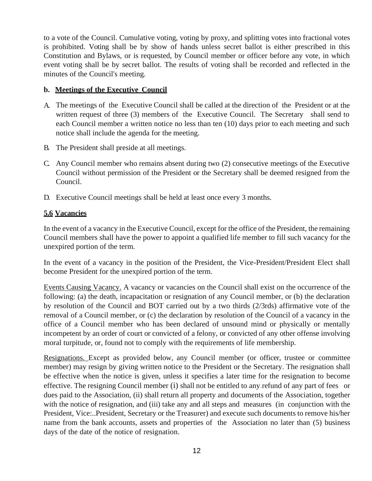to a vote of the Council. Cumulative voting, voting by proxy, and splitting votes into fractional votes is prohibited. Voting shall be by show of hands unless secret ballot is either prescribed in this Constitution and Bylaws, or is requested, by Council member or officer before any vote, in which event voting shall be by secret ballot. The results of voting shall be recorded and reflected in the minutes of the Council's meeting.

#### **b. Meetings of the Executive Council**

- A. The meetings of the Executive Council shall be called at the direction of the President or at the written request of three (3) members of the Executive Council. The Secretary shall send to each Council member a written notice no less than ten (10) days prior to each meeting and such notice shall include the agenda for the meeting.
- B. The President shall preside at all meetings.
- C. Any Council member who remains absent during two (2) consecutive meetings of the Executive Council without permission of the President or the Secretary shall be deemed resigned from the Council.
- D. Executive Council meetings shall be held at least once every 3 months.

#### **5.6 Vacancies**

In the event of a vacancy in the Executive Council, except for the office of the President, the remaining Council members shall have the power to appoint a qualified life member to fill such vacancy for the unexpired portion of the term.

In the event of a vacancy in the position of the President, the Vice-President/President Elect shall become President for the unexpired portion of the term.

Events Causing Vacancy. A vacancy or vacancies on the Council shall exist on the occurrence of the following: (a) the death, incapacitation or resignation of any Council member, or (b) the declaration by resolution of the Council and BOT carried out by a two thirds (2/3rds) affirmative vote of the removal of a Council member, or (c) the declaration by resolution of the Council of a vacancy in the office of a Council member who has been declared of unsound mind or physically or mentally incompetent by an order of court or convicted of a felony, or convicted of any other offense involving moral turpitude, or, found not to comply with the requirements of life membership.

Resignations. Except as provided below, any Council member (or officer, trustee or committee member) may resign by giving written notice to the President or the Secretary. The resignation shall be effective when the notice is given, unless it specifies a later time for the resignation to become effective. The resigning Council member (i) shall not be entitled to.any.refund of any part of fees or dues paid.to the Association, (ii) shall return all property and documents of the Association, together with the notice of resignation, and (iii) take any and all steps and measures (in conjunction with the President, Vice:..President, Secretary or the Treasurer) and execute such documents to remove his/her name from the bank accounts, assets and properties of the Association no later than (5) business days of the date of the notice of resignation.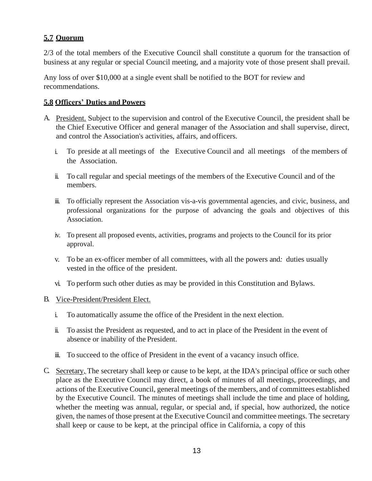# **5.7 Quorum**

2/3 of the total members of the Executive Council shall constitute a quorum for the transaction of business at any regular or special Council meeting, and a majority vote of those present shall prevail.

Any loss of over \$10,000 at a single event shall be notified to the BOT for review and recommendations.

### **5.8 Officers' Duties and Powers**

- A. President. Subject to the supervision and control of the Executive Council, the president shall be the Chief Executive Officer and general manager of the Association and shall supervise, direct, and control the Association's activities, affairs, and officers.
	- i. To preside at all meetings of the Executive Council and all meetings of the members of the Association.
	- ii. To call regular and special meetings of the members of the Executive Council and of the members.
	- iii. To officially represent the Association vis-a-vis governmental agencies, and civic, business, and professional organizations for the purpose of advancing the goals and objectives of this Association.
	- iv. To present all proposed events, activities, programs and projects to the Council for its prior approval.
	- v. To be an ex-officer member of all committees, with all the powers and*:* duties usually vested in the office of the president.
	- vi. To perform such other duties as may be provided in this Constitution and Bylaws.
- B. Vice-President/President Elect.
	- i. To automatically assume the office of the President in the next election.
	- ii. To assist the President as requested, and to act in place of the President in the event of absence or inability of the President.
	- iii. To succeed to the office of President in the event of a vacancy insuch office.
- C. Secretary. The secretary shall keep or cause to be kept, at the IDA's principal office or such other place as the Executive Council may direct, a book of minutes of all meetings,.proceedings, and actions of the.Executive Council, general meetings of the members, and of committees established by the Executive Council. The minutes of meetings shall include the time and place of holding, whether the meeting was annual, regular, or special and, if special, how authorized, the notice given, the names of those present at the Executive Council and committee meetings. The secretary shall keep or cause to be kept, at the principal office in California, a copy of this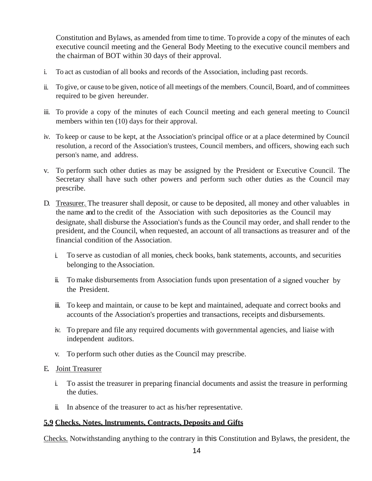Constitution and Bylaws, as amended from time to time. To provide a copy of the minutes of each executive council meeting and the General Body Meeting to the executive council members and the chairman of BOT within 30 days of their approval.

- i. To act as custodian of all books and records of the Association, including past records.
- ii. To give, or cause to be given, notice of all meetings of the members, Council, Board, and of committees required to be given hereunder.
- iii. To provide a copy of the minutes of each Council meeting and each general meeting to Council members within ten (10) days for their approval.
- iv. To keep or cause to be kept, at the Association's principal office or at a place determined by Council resolution, a record of the Association's trustees, Council members, and officers, showing each such person's name, and address.
- v. To perform such other duties as may be assigned by the President or Executive Council. The Secretary shall have such other powers and perform such other duties as the Council may prescribe.
- D. Treasurer. The treasurer shall deposit, or cause to be deposited, all money and other valuables in the name and to the credit of the Association with such depositories as the Council may designate, shall disburse the Association's funds as the Council may order, and shall render to the president, and the Council, when requested, an account of all transactions as treasurer and of the financial condition of the Association.
	- i. To serve as custodian of all monies, check books, bank statements, accounts, and securities belonging to theAssociation.
	- ii. To make disbursements from Association funds upon presentation of a signed voucher by the President.
	- iii. To keep and maintain, or cause to be kept and maintained, adequate and correct books and accounts of the Association's properties and transactions, receipts and disbursements.
	- iv. To prepare and file any required documents with governmental agencies, and liaise with independent auditors.
	- v. To perform such other duties as the Council may prescribe.

#### E. Joint Treasurer

- i. To assist the treasurer in preparing financial documents and assist the treasure in performing the duties.
- ii. In absence of the treasurer to act as his/her representative.

#### **5.9 Checks, Notes, lnstruments, Contracts, Deposits and Gifts**

Checks. Notwithstanding anything to the contrary in this Constitution and Bylaws, the president, the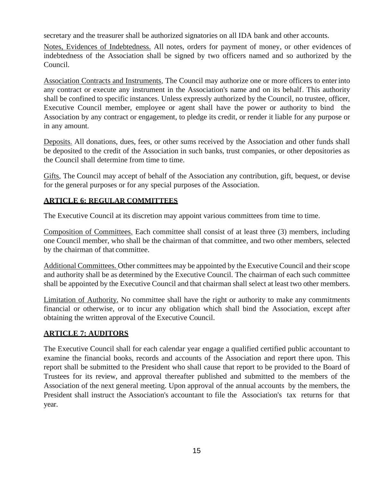secretary and the treasurer shall be authorized signatories on all IDA bank and other accounts.

Notes, Evidences of Indebtedness. All notes, orders for payment of money, or other evidences of indebtedness of the Association shall be signed by two officers named and so authorized by the Council.

Association Contracts and Instruments. The Council may authorize one or more officers to enterinto any contract or execute any instrument in the Association's name and on its behalf. This authority shall be confined to specific instances. Unless expressly authorized by the Council, no trustee, officer, Executive Council member, employee or agent shall have the power or authority to bind the Association by any contract or engagement, to pledge its credit, or render it liable for any purpose or in any amount.

Deposits. All donations, dues, fees, or other sums received by the Association and other funds shall be deposited to the credit of the Association in such banks, trust companies, or other depositories as the Council shall determine from time to time.

Gifts. The Council may accept of behalf of the Association any contribution, gift, bequest, or devise for the general purposes or for any special purposes of the Association.

### **ARTICLE 6: REGULAR COMMITTEES**

The Executive Council at its discretion may appoint various committees from time to time.

Composition of Committees. Each committee shall consist of at least three (3) members, including one Council member, who shall be the chairman of that committee, and two other members, selected by the chairman of that committee.

Additional Committees. Other committees may be appointed by the Executive Council and their scope and authority shall be as determined by the Executive Council. The chairman of each such committee shall be appointed by the Executive Council and that chairman shall select at least two other members.

Limitation of Authority. No committee shall have the right or authority to make any commitments financial or otherwise, or to incur any obligation which shall bind the Association, except after obtaining the written approval of the Executive Council.

### **ARTICLE 7: AUDITORS**

The Executive Council shall for each calendar year engage a qualified certified public accountant to examine the financial books, records and accounts of the Association and report there upon. This report shall be submitted to the President who shall cause that report to be provided to the Board of Trustees for its review, and approval thereafter published and submitted to the members of the Association of the next general meeting. Upon approval of the annual accounts by the members, the President shall instruct the Association's accountant to file the Association's tax returns for that year.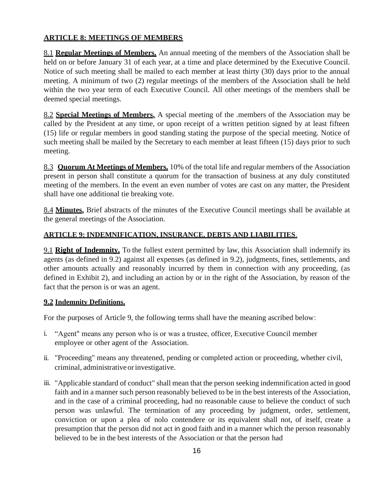# **ARTICLE 8: MEETINGS OF MEMBERS**

8.1 **Regular Meetings of Members.** An annual meeting of the members of the Association shall be held on or before January 31 of each year, at a time and place determined by the Executive Council. Notice of such meeting shall be mailed to each member at least thirty (30) days prior to the annual meeting. A minimum of two (2) regular meetings of the members of the Association shall be held within the two year term of each Executive Council. All other meetings of the members shall be deemed special meetings.

8.2 **Special Meetings of Members.** A special meeting of the .members of the Association may be called by the President at any time, or upon receipt of a written petition signed by at least fifteen (15) life or regular members in good standing stating the purpose of the special meeting. Notice of such meeting shall be mailed by the Secretary to each member at least fifteen (15) days prior to such meeting.

8.3 **Quorum At Meetings of Members.** 10% of the total life and regular members of the Association present in person shall constitute a quorum for the transaction of business at any duly constituted meeting of the members. In the event an even number of votes are cast on any matter, the President shall have one additional tie breaking vote.

8.4 **Minutes.** Brief abstracts of the minutes of the Executive Council meetings shall be available at the general meetings of the Association.

#### **ARTICLE 9: INDEMNIFICATION, INSURANCE, DEBTS AND LIABILITIES.**

9.1 **Right of Indemnity.** To the fullest extent permitted by law, this Association shall indemnify its agents (as defined in 9.2) against all expenses (as defined in 9.2), judgments, fines, settlements, and other amounts actually and reasonably incurred by them in connection with any proceeding, (as defined in Exhibit 2), and including an action by or in the right of the Association, by reason of the fact that the person is or was an agent.

#### **9.2 Indemnity Definitions.**

For the purposes of Article 9, the following terms shall have the meaning ascribed below:

- i. "Agent" means any person who is or was a trustee, officer, Executive Council member employee or other agent of the Association.
- ii. "Proceeding" means any threatened, pending or completed action or proceeding, whether civil, criminal, administrative or investigative.
- iii. "Applicable standard of conduct" shall mean that the person seeking indemnification acted in good faith and in a manner such person reasonably believed to be in the best interests of the Association, and in the case of a criminal proceeding, had no reasonable cause to believe the conduct of such person was unlawful. The termination of any proceeding by judgment, order, settlement, conviction or upon a plea of nolo contendere or its equivalent shall not, of itself, create a presumption that the person did not act in good faith and in a manner which the person reasonably believed to be in the best interests of the Association or that the person had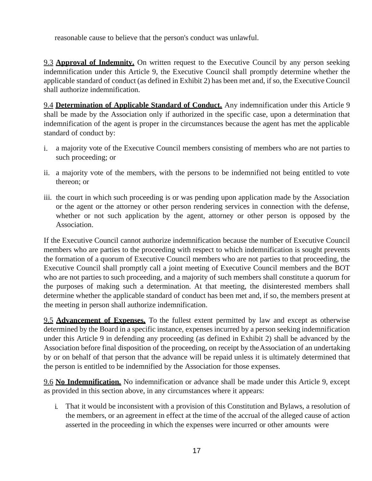reasonable cause to believe that the person's conduct was unlawful.

9.3 **Approval of Indemnity.** On written request to the Executive Council by any person seeking indemnification under this Article 9, the Executive Council shall promptly determine whether the applicable standard of conduct (as defined in Exhibit 2) has been met and, if so, the Executive Council shall authorize indemnification.

9.4 **Determination of Applicable Standard of Conduct.** Any indemnification under this Article 9 shall be made by the Association only if authorized in the specific case, upon a determination that indemnification of the agent is proper in the circumstances because the agent has met the applicable standard of conduct by:

- i. a majority vote of the Executive Council members consisting of members who are not parties to such proceeding; or
- ii. a majority vote of the members, with the persons to be indemnified not being entitled to vote thereon; or
- iii. the court in which such proceeding is or was pending upon application made by the Association or the agent or the attorney or other person rendering services in connection with the defense, whether or not such application by the agent, attorney or other person is opposed by the Association.

If the Executive Council cannot authorize indemnification because the number of Executive Council members who are parties to the proceeding with respect to which indemnification is sought prevents the formation of a quorum of Executive Council members who are not parties to that proceeding, the Executive Council shall promptly call a joint meeting of Executive Council members and the BOT who are not parties to such proceeding, and a majority of such members shall constitute a quorum for the purposes of making such a determination. At that meeting, the disinterested members shall determine whether the applicable standard of conduct has been met and, if so, the members present at the meeting in person shall authorize indemnification.

9.5 **Advancement of Expenses.** To the fullest extent permitted by law and except as otherwise determined by the Board in a specific instance, expenses incurred by a person seeking indemnification under this Article 9 in defending any proceeding (as defined in Exhibit 2) shall be advanced by the Association before final disposition of the proceeding, on receipt by theAssociation of an undertaking by or on behalf of that person that the advance will be repaid unless it is ultimately determined that the person is entitled to be indemnified by the Association for those expenses.

9.6 **No Indemnification.** No indemnification or advance shall be made under this Article 9, except as provided in this section above, in any circumstances where it appears:

i. That it would be inconsistent with a provision of this Constitution and Bylaws, a resolution of the members, or an agreement in effect at the time of the accrual of the alleged cause of action asserted in the proceeding in which the expenses were incurred or other amounts were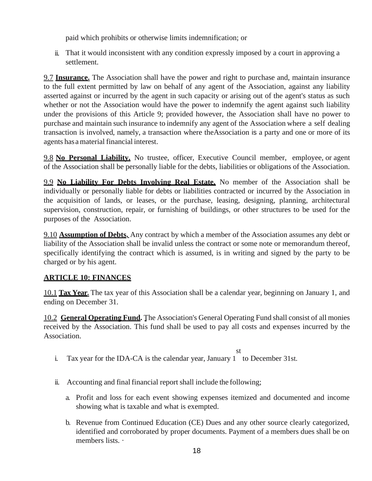paid which prohibits or otherwise limits indemnification; or

ii. That it would inconsistent with any condition expressly imposed by a court in approving a settlement.

9.7 **Insurance.** The Association shall have the power and right to purchase and, maintain insurance to the full extent permitted by law on behalf of any agent of the Association, against any liability asserted against or incurred by the agent in such capacity or arising out of the agent's status as such whether or not the Association would have the power to indemnify the agent against such liability under the provisions of this Article 9; provided however, the Association shall have no power to purchase and maintain such insurance to indemnify any agent of the Association where a self dealing transaction is involved, namely, a transaction where theAssociation is a party and one or more of its agents hasa material financial interest.

9.8 **No Personal Liability.** No trustee, officer, Executive Council member, employee, or agent of the Association shall be personally liable for the debts, liabilities or obligations of the Association.

9.9 **No Liability For Debts Involving Real Estate.** No member of the Association shall be individually or personally liable for debts or liabilities contracted or incurred by the Association in the acquisition of lands, or leases, or the purchase, leasing, designing, planning, architectural supervision, construction, repair, or furnishing of buildings, or other structures to be used for the purposes of the Association.

9.10 **Assumption of Debts.** Any contract by which a member of the Association assumes any debt or liability of the Association shall be invalid unless the contract or some note or memorandum thereof, specifically identifying the contract which is assumed, is in writing and signed by the party to be charged or by his agent.

### **ARTICLE 10: FINANCES**

10.1 **Tax Year.** The tax year of this Association shall be a calendar year, beginning on January 1, and ending on December 31.

10.2 **General Operating Fund.** The Association's General Operating Fund shall consist of all monies received by the Association. This fund shall be used to pay all costs and expenses incurred by the Association.

- st i. Tax year for the IDA-CA is the calendar year, January 1 to December 31st.
- ii. Accounting and final financial report shall include the following;
	- a. Profit and loss for each event showing expenses itemized and documented and income showing what is taxable and what is exempted.
	- b. Revenue from Continued Education (CE) Dues and any other source clearly categorized, identified and corroborated by proper documents. Payment of a members dues shall be on members lists. ·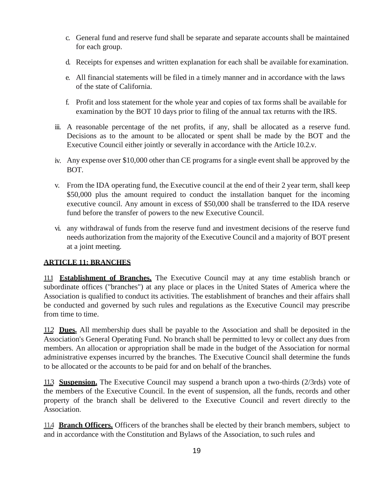- c. General fund and reserve fund shall be separate and separate accounts shall be maintained for each group.
- d. Receipts for expenses and written explanation for each shall be available for examination.
- e. All financial statements will be filed in a timely manner and in accordance with the laws of the state of California.
- f. Profit and loss statement for the whole year and copies of tax forms shall be available for examination by the BOT 10 days prior to filing of the annual tax returns with the IRS.
- iii. A reasonable percentage of the net profits, if any, shall be allocated as a reserve fund. Decisions as to the amount to be allocated or spent shall be made by the BOT and the Executive Council either jointly or severally in accordance with the Article 10.2.v.
- iv. Any expense over \$10,000 other than CE programs for a single event shall be approved by the BOT.
- v. From the IDA operating fund, the Executive council at the end of their 2 year term, shall keep \$50,000 plus the amount required to conduct the installation banquet for the incoming executive council. Any amount in excess of \$50,000 shall be transferred to the IDA reserve fund before the transfer of powers to the new Executive Council.
- vi. any withdrawal of funds from the reserve fund and investment decisions of the reserve fund needs authorization from the majority of the Executive Council and a majority of BOT present at a joint meeting.

# **ARTICLE 11: BRANCHES**

11.1 **Establishment of Branches.** The Executive Council may at any time establish branch or subordinate offices ("branches") at any place or places in the United States of America where the Association is qualified to conduct its activities. The establishment of branches and their affairs shall be conducted and governed by such rules and regulations as the Executive Council may prescribe from time to time.

11.2 **Dues.** All membership dues shall be payable to the Association and shall be deposited in the Association's General Operating Fund. No branch shall be permitted to levy or collect any dues from members. An allocation or appropriation shall be made in the budget of the Association for normal administrative expenses incurred by the branches. The Executive Council shall determine the funds to be allocated or the accounts to be paid for and on behalf of the branches.

11.3 **Suspension.** The Executive Council may suspend a branch upon a two-thirds (2/3rds) vote of the members of the Executive Council. In the event of suspension, all the funds, records and other property of the branch shall be delivered to the Executive Council and revert directly to the Association.

11.4 **Branch Officers.** Officers of the branches shall be elected by their branch members, subject to and in accordance with the Constitution and Bylaws of the Association, to such rules and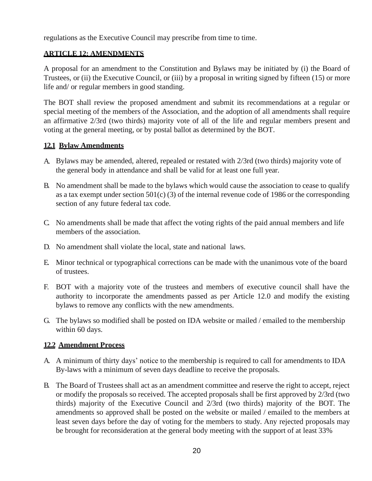regulations as the Executive Council may prescribe from time to time.

#### **ARTICLE 12: AMENDMENTS**

A proposal for an amendment to the Constitution and Bylaws may be initiated by (i) the Board of Trustees, or (ii) the Executive Council, or (iii) by a proposal in writing signed by fifteen (15) or more life and/ or regular members in good standing.

The BOT shall review the proposed amendment and submit its recommendations at a regular or special meeting of the members of the Association, and the adoption of all amendments shall require an affirmative 2/3rd (two thirds) majority vote of all of the life and regular members present and voting at the general meeting, or by postal ballot as determined by the BOT.

#### **12.1 Bylaw Amendments**

- A. Bylaws may be amended, altered, repealed or restated with 2/3rd (two thirds) majority vote of the general body in attendance and shall be valid for at least one full year.
- B. No amendment shall be made to the bylaws which would cause the association to cease to qualify as a tax exempt under section 501(c) (3) of the internal revenue code of 1986 or the corresponding section of any future federal tax code.
- C. No amendments shall be made that affect the voting rights of the paid annual members and life members of the association.
- D. No amendment shall violate the local, state and national laws.
- E. Minor technical or typographical corrections can be made with the unanimous vote of the board of trustees.
- F. BOT with a majority vote of the trustees and members of executive council shall have the authority to incorporate the amendments passed as per Article 12.0 and modify the existing bylaws to remove any conflicts with the new amendments.
- G. The bylaws so modified shall be posted on IDA website or mailed / emailed to the membership within 60 days.

### **12.2 Amendment Process**

- A. A minimum of thirty days' notice to the membership is required to call for amendments to IDA By-laws with a minimum of seven days deadline to receive the proposals.
- B. The Board of Trustees shall act as an amendment committee and reserve the right to accept, reject or modify the proposals so received. The accepted proposals shall be first approved by 2/3rd (two thirds) majority of the Executive Council and 2/3rd (two thirds) majority of the BOT. The amendments so approved shall be posted on the website or mailed / emailed to the members at least seven days before the day of voting for the members to study. Any rejected proposals may be brought for reconsideration at the general body meeting with the support of at least 33%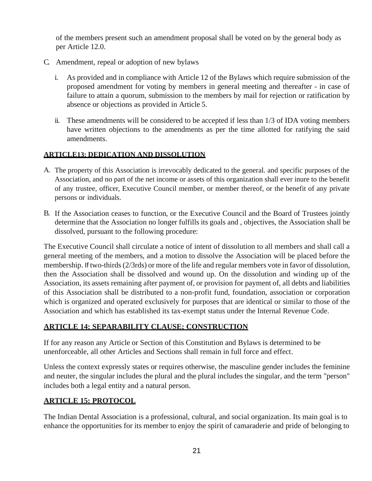of the members present such an amendment proposal shall be voted on by the general body as per Article 12.0.

- C. Amendment, repeal or adoption of new bylaws
	- i. As provided and in compliance with Article 12 of the Bylaws which require submission of the proposed amendment for voting by members in general meeting and thereafter - in case of failure to attain a quorum, submission to the members by mail for rejection or ratification by absence or objections as provided in Article 5.
	- ii. These amendments will be considered to be accepted if less than 1/3 of IDA voting members have written objections to the amendments as per the time allotted for ratifying the said amendments.

#### **ARTICLE13: DEDICATION AND DISSOLUTION**

- A. The property of this Association is irrevocably dedicated to the general. and specific purposes of the Association, and no part of the net income or assets of this organization shall ever inure to the benefit of any trustee, officer, Executive Council member, or member thereof, or the benefit of any private persons or individuals.
- B. If the Association ceases to function, or the Executive Council and the Board of Trustees jointly determine that the Association no longer fulfills its goals and , objectives, the Association shall be dissolved, pursuant to the following procedure:

The Executive Council shall circulate a notice of intent of dissolution to all members and shall call a general meeting of the members, and a motion to dissolve the Association will be placed before the membership. If two-thirds (2/3rds) or more of the life and regular members vote in favor of dissolution, then the Association shall be dissolved and wound up. On the dissolution and winding up of the Association, its assets remaining after payment of, or provision for payment of, all debts and liabilities of this Association shall be distributed to a non-profit fund, foundation, association or corporation which is organized and operated exclusively for purposes that are identical or similar to those of the Association and which has established its tax-exempt status under the Internal Revenue Code.

# **ARTICLE 14: SEPARABILITY CLAUSE; CONSTRUCTION**

If for any reason any Article or Section of this Constitution and Bylaws is determined to be unenforceable, all other Articles and Sections shall remain in full force and effect.

Unless the context expressly states or requires otherwise, the masculine gender includes the feminine and neuter, the singular includes the plural and the plural includes the singular, and the term "person" includes both a legal entity and a natural person.

### **ARTICLE 15: PROTOCOL**

The Indian Dental Association is a professional, cultural, and social organization. Its main goal is to enhance the opportunities for its member to enjoy the spirit of camaraderie and pride of belonging to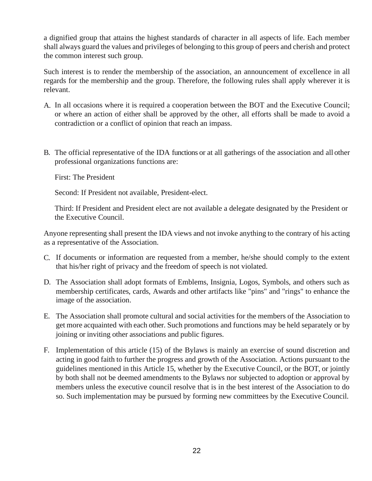a dignified group that attains the highest standards of character in all aspects of life. Each member shall always guard the values and privileges of belonging to this group of peers and cherish and protect the common interest such group.

Such interest is to render the membership of the association, an announcement of excellence in all regards for the membership and the group. Therefore, the following rules shall apply wherever it is relevant.

- A. In all occasions where it is required a cooperation between the BOT and the Executive Council; or where an action of either shall be approved by the other, all efforts shall be made to avoid a contradiction or a conflict of opinion that reach an impass.
- B. The official representative of the IDA functions or at all gatherings of the association and all other professional organizations functions are:

First: The President

Second: If President not available, President-elect.

Third: If President and President elect are not available a delegate designated by the President or the Executive Council.

Anyone representing shall present the IDA views and not invoke anything to the contrary of his acting as a representative of the Association.

- C. If documents or information are requested from a member, he/she should comply to the extent that his/her right of privacy and the freedom of speech is not violated.
- D. The Association shall adopt formats of Emblems, Insignia, Logos, Symbols, and others such as membership certificates, cards, Awards and other artifacts like "pins" and "rings" to enhance the image of the association.
- E. The Association shall promote cultural and social activities for the members of the Association to get more acquainted with each other. Such promotions and functions may be held separately or by joining or inviting other associations and public figures.
- F. Implementation of this article (15) of the Bylaws is mainly an exercise of sound discretion and acting in good faith to further the progress and growth of the Association. Actions pursuant to the guidelines mentioned in this Article 15, whether by the Executive Council, or the BOT, or jointly by both shall not be deemed amendments to the Bylaws nor subjected to adoption or approval by members unless the executive council resolve that is in the best interest of the Association to do so. Such implementation may be pursued by forming new committees by the Executive Council.